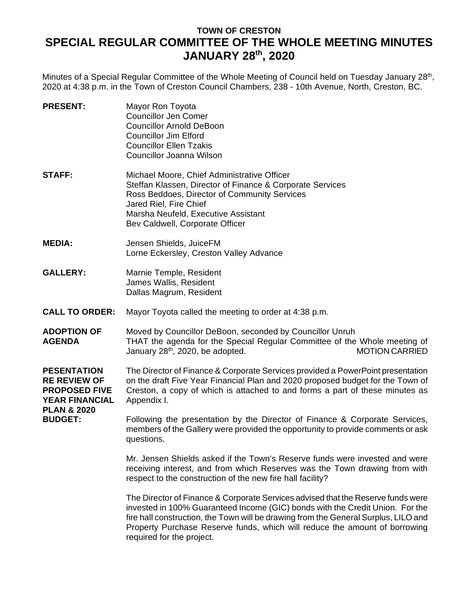## **TOWN OF CRESTON SPECIAL REGULAR COMMITTEE OF THE WHOLE MEETING MINUTES JANUARY 28th , 2020**

Minutes of a Special Regular Committee of the Whole Meeting of Council held on Tuesday January 28<sup>th</sup>, 2020 at 4:38 p.m. in the Town of Creston Council Chambers, 238 - 10th Avenue, North, Creston, BC.

| <b>PRESENT:</b>                                                                                                                        | Mayor Ron Toyota<br><b>Councillor Jen Comer</b><br><b>Councillor Arnold DeBoon</b><br><b>Councillor Jim Elford</b><br><b>Councillor Ellen Tzakis</b><br>Councillor Joanna Wilson                                                                                                                                                                                    |
|----------------------------------------------------------------------------------------------------------------------------------------|---------------------------------------------------------------------------------------------------------------------------------------------------------------------------------------------------------------------------------------------------------------------------------------------------------------------------------------------------------------------|
| <b>STAFF:</b>                                                                                                                          | Michael Moore, Chief Administrative Officer<br>Steffan Klassen, Director of Finance & Corporate Services<br>Ross Beddoes, Director of Community Services<br>Jared Riel, Fire Chief<br>Marsha Neufeld, Executive Assistant<br>Bev Caldwell, Corporate Officer                                                                                                        |
| <b>MEDIA:</b>                                                                                                                          | Jensen Shields, JuiceFM<br>Lorne Eckersley, Creston Valley Advance                                                                                                                                                                                                                                                                                                  |
| <b>GALLERY:</b>                                                                                                                        | Marnie Temple, Resident<br>James Wallis, Resident<br>Dallas Magrum, Resident                                                                                                                                                                                                                                                                                        |
| <b>CALL TO ORDER:</b>                                                                                                                  | Mayor Toyota called the meeting to order at 4:38 p.m.                                                                                                                                                                                                                                                                                                               |
| <b>ADOPTION OF</b><br><b>AGENDA</b>                                                                                                    | Moved by Councillor DeBoon, seconded by Councillor Unruh<br>THAT the agenda for the Special Regular Committee of the Whole meeting of<br>January 28 <sup>th</sup> , 2020, be adopted.<br><b>MOTION CARRIED</b>                                                                                                                                                      |
| <b>PESENTATION</b><br><b>RE REVIEW OF</b><br><b>PROPOSED FIVE</b><br><b>YEAR FINANCIAL</b><br><b>PLAN &amp; 2020</b><br><b>BUDGET:</b> | The Director of Finance & Corporate Services provided a PowerPoint presentation<br>on the draft Five Year Financial Plan and 2020 proposed budget for the Town of<br>Creston, a copy of which is attached to and forms a part of these minutes as<br>Appendix I.                                                                                                    |
|                                                                                                                                        | Following the presentation by the Director of Finance & Corporate Services,<br>members of the Gallery were provided the opportunity to provide comments or ask<br>questions.                                                                                                                                                                                        |
|                                                                                                                                        | Mr. Jensen Shields asked if the Town's Reserve funds were invested and were<br>receiving interest, and from which Reserves was the Town drawing from with<br>respect to the construction of the new fire hall facility?                                                                                                                                             |
|                                                                                                                                        | The Director of Finance & Corporate Services advised that the Reserve funds were<br>invested in 100% Guaranteed Income (GIC) bonds with the Credit Union. For the<br>fire hall construction, the Town will be drawing from the General Surplus, LILO and<br>Property Purchase Reserve funds, which will reduce the amount of borrowing<br>required for the project. |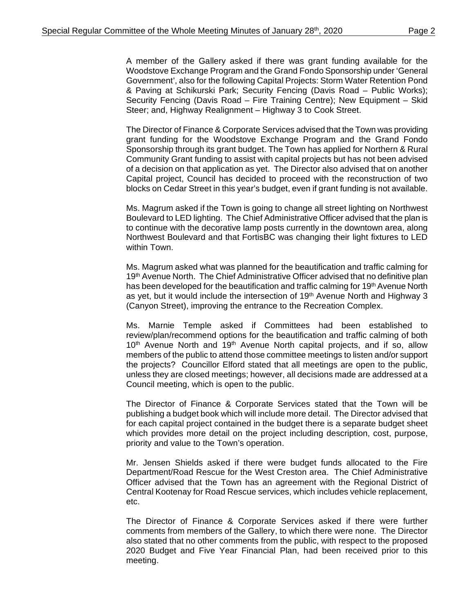A member of the Gallery asked if there was grant funding available for the Woodstove Exchange Program and the Grand Fondo Sponsorship under 'General Government', also for the following Capital Projects: Storm Water Retention Pond & Paving at Schikurski Park; Security Fencing (Davis Road – Public Works); Security Fencing (Davis Road – Fire Training Centre); New Equipment – Skid Steer; and, Highway Realignment – Highway 3 to Cook Street.

The Director of Finance & Corporate Services advised that the Town was providing grant funding for the Woodstove Exchange Program and the Grand Fondo Sponsorship through its grant budget. The Town has applied for Northern & Rural Community Grant funding to assist with capital projects but has not been advised of a decision on that application as yet. The Director also advised that on another Capital project, Council has decided to proceed with the reconstruction of two blocks on Cedar Street in this year's budget, even if grant funding is not available.

Ms. Magrum asked if the Town is going to change all street lighting on Northwest Boulevard to LED lighting. The Chief Administrative Officer advised that the plan is to continue with the decorative lamp posts currently in the downtown area, along Northwest Boulevard and that FortisBC was changing their light fixtures to LED within Town.

Ms. Magrum asked what was planned for the beautification and traffic calming for 19<sup>th</sup> Avenue North. The Chief Administrative Officer advised that no definitive plan has been developed for the beautification and traffic calming for  $19<sup>th</sup>$  Avenue North as yet, but it would include the intersection of 19th Avenue North and Highway 3 (Canyon Street), improving the entrance to the Recreation Complex.

Ms. Marnie Temple asked if Committees had been established to review/plan/recommend options for the beautification and traffic calming of both 10<sup>th</sup> Avenue North and 19<sup>th</sup> Avenue North capital projects, and if so, allow members of the public to attend those committee meetings to listen and/or support the projects? Councillor Elford stated that all meetings are open to the public, unless they are closed meetings; however, all decisions made are addressed at a Council meeting, which is open to the public.

The Director of Finance & Corporate Services stated that the Town will be publishing a budget book which will include more detail. The Director advised that for each capital project contained in the budget there is a separate budget sheet which provides more detail on the project including description, cost, purpose, priority and value to the Town's operation.

Mr. Jensen Shields asked if there were budget funds allocated to the Fire Department/Road Rescue for the West Creston area. The Chief Administrative Officer advised that the Town has an agreement with the Regional District of Central Kootenay for Road Rescue services, which includes vehicle replacement, etc.

The Director of Finance & Corporate Services asked if there were further comments from members of the Gallery, to which there were none. The Director also stated that no other comments from the public, with respect to the proposed 2020 Budget and Five Year Financial Plan, had been received prior to this meeting.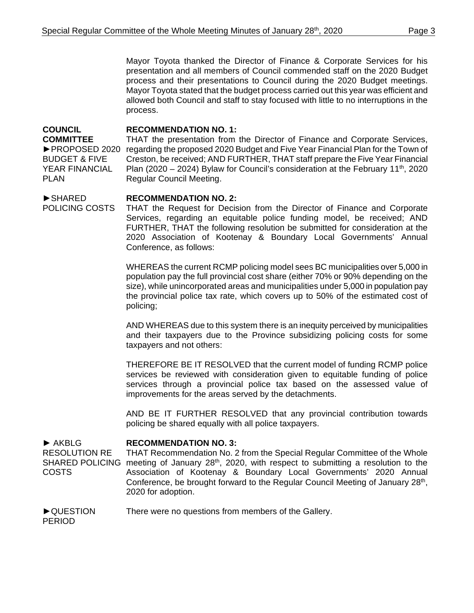Mayor Toyota thanked the Director of Finance & Corporate Services for his presentation and all members of Council commended staff on the 2020 Budget process and their presentations to Council during the 2020 Budget meetings. Mayor Toyota stated that the budget process carried out this year was efficient and allowed both Council and staff to stay focused with little to no interruptions in the process.

## **COUNCIL RECOMMENDATION NO. 1:**

**COMMITTEE** BUDGET & FIVE YEAR FINANCIAL PLAN

►PROPOSED 2020 regarding the proposed 2020 Budget and Five Year Financial Plan for the Town of THAT the presentation from the Director of Finance and Corporate Services, Creston, be received; AND FURTHER, THAT staff prepare the Five Year Financial Plan (2020 – 2024) Bylaw for Council's consideration at the February 11<sup>th</sup>, 2020 Regular Council Meeting.

## ►SHARED POLICING COSTS **RECOMMENDATION NO. 2:**

THAT the Request for Decision from the Director of Finance and Corporate Services, regarding an equitable police funding model, be received; AND FURTHER, THAT the following resolution be submitted for consideration at the 2020 Association of Kootenay & Boundary Local Governments' Annual Conference, as follows:

WHEREAS the current RCMP policing model sees BC municipalities over 5,000 in population pay the full provincial cost share (either 70% or 90% depending on the size), while unincorporated areas and municipalities under 5,000 in population pay the provincial police tax rate, which covers up to 50% of the estimated cost of policing;

AND WHEREAS due to this system there is an inequity perceived by municipalities and their taxpayers due to the Province subsidizing policing costs for some taxpayers and not others:

THEREFORE BE IT RESOLVED that the current model of funding RCMP police services be reviewed with consideration given to equitable funding of police services through a provincial police tax based on the assessed value of improvements for the areas served by the detachments.

AND BE IT FURTHER RESOLVED that any provincial contribution towards policing be shared equally with all police taxpayers.

## ► AKBLG **RECOMMENDATION NO. 3:**

RESOLUTION RE SHARED POLICING meeting of January 28<sup>th</sup>, 2020, with respect to submitting a resolution to the COSTS THAT Recommendation No. 2 from the Special Regular Committee of the Whole Association of Kootenay & Boundary Local Governments' 2020 Annual Conference, be brought forward to the Regular Council Meeting of January 28th, 2020 for adoption.

►QUESTION There were no questions from members of the Gallery.

PERIOD